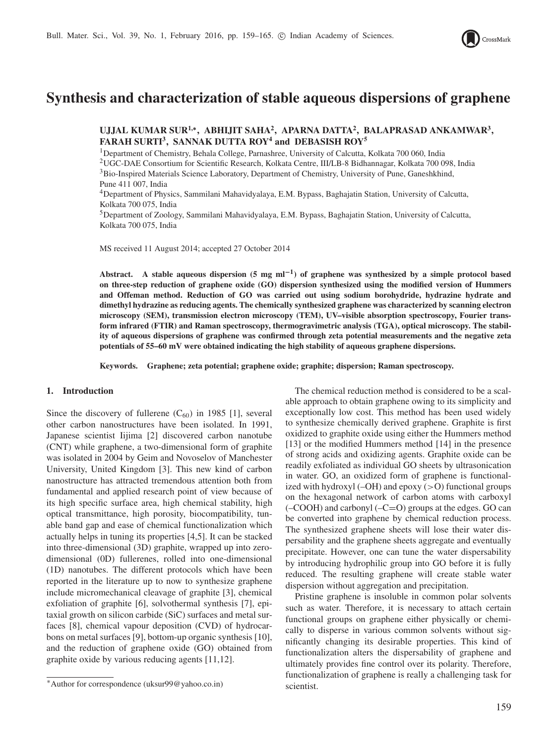

# **Synthesis and characterization of stable aqueous dispersions of graphene**

**UJJAL KUMAR SUR1,**<sup>∗</sup> **, ABHIJIT SAHA<sup>2</sup> , APARNA DATTA<sup>2</sup> , BALAPRASAD ANKAMWAR<sup>3</sup> , FARAH SURTI<sup>3</sup> , SANNAK DUTTA ROY<sup>4</sup> and DEBASISH ROY<sup>5</sup>**

<sup>1</sup>Department of Chemistry, Behala College, Parnashree, University of Calcutta, Kolkata 700 060, India <sup>2</sup>UGC-DAE Consortium for Scientific Research, Kolkata Centre, III/LB-8 Bidhannagar, Kolkata 700 098, India <sup>3</sup>Bio-Inspired Materials Science Laboratory, Department of Chemistry, University of Pune, Ganeshkhind, Pune 411 007, India

<sup>4</sup>Department of Physics, Sammilani Mahavidyalaya, E.M. Bypass, Baghajatin Station, University of Calcutta, Kolkata 700 075, India

<sup>5</sup>Department of Zoology, Sammilani Mahavidyalaya, E.M. Bypass, Baghajatin Station, University of Calcutta, Kolkata 700 075, India

MS received 11 August 2014; accepted 27 October 2014

**Abstract. A stable aqueous dispersion (5 mg ml**−**<sup>1</sup> ) of graphene was synthesized by a simple protocol based on three-step reduction of graphene oxide (GO) dispersion synthesized using the modified version of Hummers and Offeman method. Reduction of GO was carried out using sodium borohydride, hydrazine hydrate and dimethyl hydrazine as reducing agents. The chemically synthesized graphene was characterized by scanning electron microscopy (SEM), transmission electron microscopy (TEM), UV–visible absorption spectroscopy, Fourier transform infrared (FTIR) and Raman spectroscopy, thermogravimetric analysis (TGA), optical microscopy. The stability of aqueous dispersions of graphene was confirmed through zeta potential measurements and the negative zeta potentials of 55–60 mV were obtained indicating the high stability of aqueous graphene dispersions.**

**Keywords. Graphene; zeta potential; graphene oxide; graphite; dispersion; Raman spectroscopy.**

## **1. Introduction**

Since the discovery of fullerene  $(C_{60})$  in 1985 [1], several other carbon nanostructures have been isolated. In 1991, Japanese scientist Iijima [2] discovered carbon nanotube (CNT) while graphene, a two-dimensional form of graphite was isolated in 2004 by Geim and Novoselov of Manchester University, United Kingdom [3]. This new kind of carbon nanostructure has attracted tremendous attention both from fundamental and applied research point of view because of its high specific surface area, high chemical stability, high optical transmittance, high porosity, biocompatibility, tunable band gap and ease of chemical functionalization which actually helps in tuning its properties [4,5]. It can be stacked into three-dimensional (3D) graphite, wrapped up into zerodimensional (0D) fullerenes, rolled into one-dimensional (1D) nanotubes. The different protocols which have been reported in the literature up to now to synthesize graphene include micromechanical cleavage of graphite [3], chemical exfoliation of graphite [6], solvothermal synthesis [7], epitaxial growth on silicon carbide (SiC) surfaces and metal surfaces [8], chemical vapour deposition (CVD) of hydrocarbons on metal surfaces [9], bottom-up organic synthesis [10], and the reduction of graphene oxide (GO) obtained from graphite oxide by various reducing agents [11,12].

The chemical reduction method is considered to be a scalable approach to obtain graphene owing to its simplicity and exceptionally low cost. This method has been used widely to synthesize chemically derived graphene. Graphite is first oxidized to graphite oxide using either the Hummers method [13] or the modified Hummers method [14] in the presence of strong acids and oxidizing agents. Graphite oxide can be readily exfoliated as individual GO sheets by ultrasonication in water. GO, an oxidized form of graphene is functionalized with hydroxyl  $(-OH)$  and epoxy  $(>0)$  functional groups on the hexagonal network of carbon atoms with carboxyl  $(-COOH)$  and carbonyl  $(-C=O)$  groups at the edges. GO can be converted into graphene by chemical reduction process. The synthesized graphene sheets will lose their water dispersability and the graphene sheets aggregate and eventually precipitate. However, one can tune the water dispersability by introducing hydrophilic group into GO before it is fully reduced. The resulting graphene will create stable water dispersion without aggregation and precipitation.

Pristine graphene is insoluble in common polar solvents such as water. Therefore, it is necessary to attach certain functional groups on graphene either physically or chemically to disperse in various common solvents without significantly changing its desirable properties. This kind of functionalization alters the dispersability of graphene and ultimately provides fine control over its polarity. Therefore, functionalization of graphene is really a challenging task for scientist.

<sup>∗</sup>Author for correspondence (uksur99@yahoo.co.in)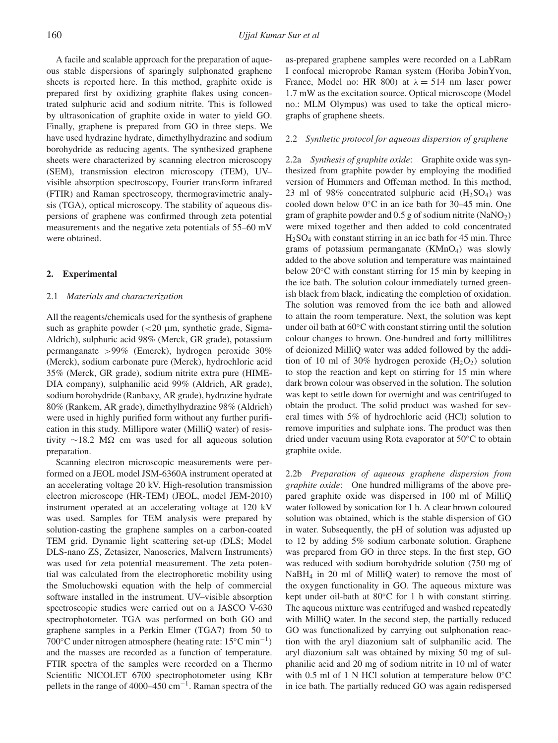A facile and scalable approach for the preparation of aqueous stable dispersions of sparingly sulphonated graphene sheets is reported here. In this method, graphite oxide is prepared first by oxidizing graphite flakes using concentrated sulphuric acid and sodium nitrite. This is followed by ultrasonication of graphite oxide in water to yield GO. Finally, graphene is prepared from GO in three steps. We have used hydrazine hydrate, dimethylhydrazine and sodium borohydride as reducing agents. The synthesized graphene sheets were characterized by scanning electron microscopy (SEM), transmission electron microscopy (TEM), UV– visible absorption spectroscopy, Fourier transform infrared (FTIR) and Raman spectroscopy, thermogravimetric analysis (TGA), optical microscopy. The stability of aqueous dispersions of graphene was confirmed through zeta potential measurements and the negative zeta potentials of 55–60 mV were obtained.

#### **2. Experimental**

#### 2.1 *Materials and characterization*

All the reagents/chemicals used for the synthesis of graphene such as graphite powder  $\left( < 20 \right)$  µm, synthetic grade, Sigma-Aldrich), sulphuric acid 98% (Merck, GR grade), potassium permanganate >99% (Emerck), hydrogen peroxide 30% (Merck), sodium carbonate pure (Merck), hydrochloric acid 35% (Merck, GR grade), sodium nitrite extra pure (HIME-DIA company), sulphanilic acid 99% (Aldrich, AR grade), sodium borohydride (Ranbaxy, AR grade), hydrazine hydrate 80% (Rankem, AR grade), dimethylhydrazine 98% (Aldrich) were used in highly purified form without any further purification in this study. Millipore water (MilliQ water) of resistivity  $\sim$ 18.2 M $\Omega$  cm was used for all aqueous solution preparation.

Scanning electron microscopic measurements were performed on a JEOL model JSM-6360A instrument operated at an accelerating voltage 20 kV. High-resolution transmission electron microscope (HR-TEM) (JEOL, model JEM-2010) instrument operated at an accelerating voltage at 120 kV was used. Samples for TEM analysis were prepared by solution-casting the graphene samples on a carbon-coated TEM grid. Dynamic light scattering set-up (DLS; Model DLS-nano ZS, Zetasizer, Nanoseries, Malvern Instruments) was used for zeta potential measurement. The zeta potential was calculated from the electrophoretic mobility using the Smoluchowski equation with the help of commercial software installed in the instrument. UV–visible absorption spectroscopic studies were carried out on a JASCO V-630 spectrophotometer. TGA was performed on both GO and graphene samples in a Perkin Elmer (TGA7) from 50 to 700◦C under nitrogen atmosphere (heating rate: 15◦C min<sup>−</sup><sup>1</sup> ) and the masses are recorded as a function of temperature. FTIR spectra of the samples were recorded on a Thermo Scientific NICOLET 6700 spectrophotometer using KBr pellets in the range of 4000–450 cm<sup>-1</sup>. Raman spectra of the

as-prepared graphene samples were recorded on a LabRam I confocal microprobe Raman system (Horiba JobinYvon, France, Model no: HR 800) at  $\lambda = 514$  nm laser power 1.7 mW as the excitation source. Optical microscope (Model no.: MLM Olympus) was used to take the optical micrographs of graphene sheets.

## 2.2 *Synthetic protocol for aqueous dispersion of graphene*

2.2a *Synthesis of graphite oxide*: Graphite oxide was synthesized from graphite powder by employing the modified version of Hummers and Offeman method. In this method, 23 ml of 98% concentrated sulphuric acid  $(H_2SO_4)$  was cooled down below 0◦C in an ice bath for 30–45 min. One gram of graphite powder and  $0.5$  g of sodium nitrite (NaNO<sub>2</sub>) were mixed together and then added to cold concentrated H2SO<sup>4</sup> with constant stirring in an ice bath for 45 min. Three grams of potassium permanganate  $(KMnO<sub>4</sub>)$  was slowly added to the above solution and temperature was maintained below 20◦C with constant stirring for 15 min by keeping in the ice bath. The solution colour immediately turned greenish black from black, indicating the completion of oxidation. The solution was removed from the ice bath and allowed to attain the room temperature. Next, the solution was kept under oil bath at 60◦C with constant stirring until the solution colour changes to brown. One-hundred and forty millilitres of deionized MilliQ water was added followed by the addition of 10 ml of 30% hydrogen peroxide  $(H_2O_2)$  solution to stop the reaction and kept on stirring for 15 min where dark brown colour was observed in the solution. The solution was kept to settle down for overnight and was centrifuged to obtain the product. The solid product was washed for several times with 5% of hydrochloric acid (HCl) solution to remove impurities and sulphate ions. The product was then dried under vacuum using Rota evaporator at 50◦C to obtain graphite oxide.

2.2b *Preparation of aqueous graphene dispersion from graphite oxide*: One hundred milligrams of the above prepared graphite oxide was dispersed in 100 ml of MilliQ water followed by sonication for 1 h. A clear brown coloured solution was obtained, which is the stable dispersion of GO in water. Subsequently, the pH of solution was adjusted up to 12 by adding 5% sodium carbonate solution. Graphene was prepared from GO in three steps. In the first step, GO was reduced with sodium borohydride solution (750 mg of NaBH<sup>4</sup> in 20 ml of MilliQ water) to remove the most of the oxygen functionality in GO. The aqueous mixture was kept under oil-bath at 80◦C for 1 h with constant stirring. The aqueous mixture was centrifuged and washed repeatedly with MilliQ water. In the second step, the partially reduced GO was functionalized by carrying out sulphonation reaction with the aryl diazonium salt of sulphanilic acid. The aryl diazonium salt was obtained by mixing 50 mg of sulphanilic acid and 20 mg of sodium nitrite in 10 ml of water with 0.5 ml of 1 N HCl solution at temperature below 0◦C in ice bath. The partially reduced GO was again redispersed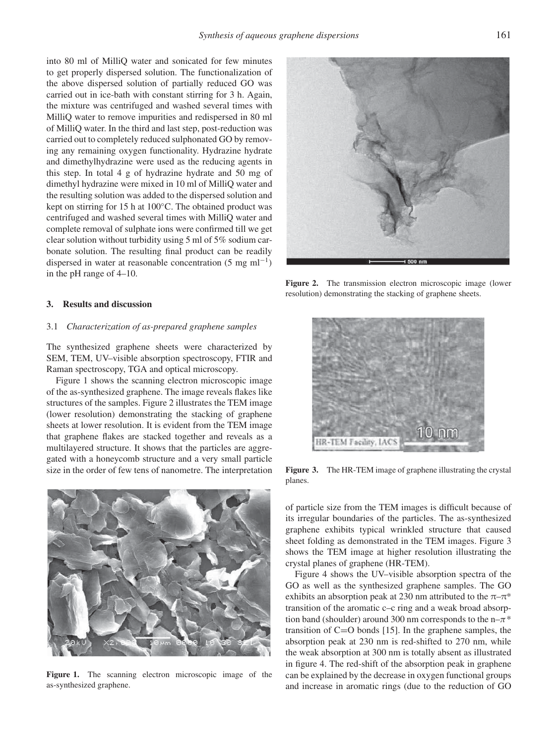into 80 ml of MilliQ water and sonicated for few minutes to get properly dispersed solution. The functionalization of the above dispersed solution of partially reduced GO was carried out in ice-bath with constant stirring for 3 h. Again, the mixture was centrifuged and washed several times with MilliQ water to remove impurities and redispersed in 80 ml of MilliQ water. In the third and last step, post-reduction was carried out to completely reduced sulphonated GO by removing any remaining oxygen functionality. Hydrazine hydrate and dimethylhydrazine were used as the reducing agents in this step. In total 4 g of hydrazine hydrate and 50 mg of dimethyl hydrazine were mixed in 10 ml of MilliQ water and the resulting solution was added to the dispersed solution and kept on stirring for 15 h at 100◦C. The obtained product was centrifuged and washed several times with MilliQ water and complete removal of sulphate ions were confirmed till we get clear solution without turbidity using 5 ml of 5% sodium carbonate solution. The resulting final product can be readily dispersed in water at reasonable concentration  $(5 \text{ mg ml}^{-1})$ in the pH range of 4–10.

## **3. Results and discussion**

## 3.1 *Characterization of as-prepared graphene samples*

The synthesized graphene sheets were characterized by SEM, TEM, UV–visible absorption spectroscopy, FTIR and Raman spectroscopy, TGA and optical microscopy.

Figure 1 shows the scanning electron microscopic image of the as-synthesized graphene. The image reveals flakes like structures of the samples. Figure 2 illustrates the TEM image (lower resolution) demonstrating the stacking of graphene sheets at lower resolution. It is evident from the TEM image that graphene flakes are stacked together and reveals as a multilayered structure. It shows that the particles are aggregated with a honeycomb structure and a very small particle size in the order of few tens of nanometre. The interpretation



Figure 1. The scanning electron microscopic image of the as-synthesized graphene.



**Figure 2.** The transmission electron microscopic image (lower resolution) demonstrating the stacking of graphene sheets.



**Figure 3.** The HR-TEM image of graphene illustrating the crystal planes.

of particle size from the TEM images is difficult because of its irregular boundaries of the particles. The as-synthesized graphene exhibits typical wrinkled structure that caused sheet folding as demonstrated in the TEM images. Figure 3 shows the TEM image at higher resolution illustrating the crystal planes of graphene (HR-TEM).

Figure 4 shows the UV–visible absorption spectra of the GO as well as the synthesized graphene samples. The GO exhibits an absorption peak at 230 nm attributed to the  $\pi-\pi^*$ transition of the aromatic c–c ring and a weak broad absorption band (shoulder) around 300 nm corresponds to the  $n-\pi$ <sup>\*</sup> transition of  $C=O$  bonds [15]. In the graphene samples, the absorption peak at 230 nm is red-shifted to 270 nm, while the weak absorption at 300 nm is totally absent as illustrated in figure 4. The red-shift of the absorption peak in graphene can be explained by the decrease in oxygen functional groups and increase in aromatic rings (due to the reduction of GO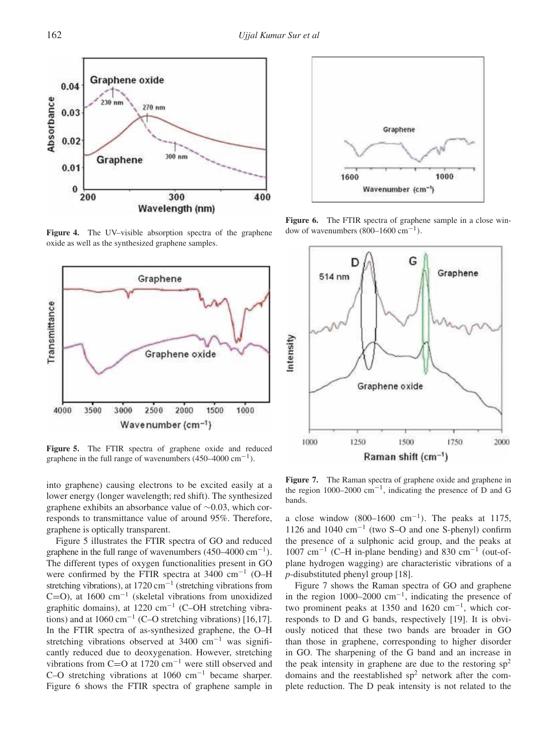

**Figure 4.** The UV–visible absorption spectra of the graphene oxide as well as the synthesized graphene samples.



Figure 5. The FTIR spectra of graphene oxide and reduced graphene in the full range of wavenumbers  $(450-4000 \text{ cm}^{-1})$ .

into graphene) causing electrons to be excited easily at a lower energy (longer wavelength; red shift). The synthesized graphene exhibits an absorbance value of ∼0.03, which corresponds to transmittance value of around 95%. Therefore, graphene is optically transparent.

Figure 5 illustrates the FTIR spectra of GO and reduced graphene in the full range of wavenumbers  $(450-4000 \text{ cm}^{-1})$ . The different types of oxygen functionalities present in GO were confirmed by the FTIR spectra at 3400 cm<sup>-1</sup> (O–H stretching vibrations), at 1720 cm<sup>-1</sup> (stretching vibrations from  $C=O$ ), at 1600 cm<sup>-1</sup> (skeletal vibrations from unoxidized graphitic domains), at 1220 cm<sup>-1</sup> (C-OH stretching vibrations) and at  $1060 \text{ cm}^{-1}$  (C–O stretching vibrations) [16,17]. In the FTIR spectra of as-synthesized graphene, the O–H stretching vibrations observed at 3400 cm<sup>-1</sup> was significantly reduced due to deoxygenation. However, stretching vibrations from C=O at 1720 cm<sup>−</sup><sup>1</sup> were still observed and C–O stretching vibrations at 1060 cm<sup>−</sup><sup>1</sup> became sharper. Figure 6 shows the FTIR spectra of graphene sample in



**Figure 6.** The FTIR spectra of graphene sample in a close window of wavenumbers  $(800-1600 \text{ cm}^{-1})$ .



Figure 7. The Raman spectra of graphene oxide and graphene in the region 1000–2000 cm<sup>-1</sup>, indicating the presence of D and G bands.

a close window  $(800-1600 \text{ cm}^{-1})$ . The peaks at 1175, 1126 and 1040 cm<sup>−</sup><sup>1</sup> (two S–O and one S-phenyl) confirm the presence of a sulphonic acid group, and the peaks at 1007 cm<sup>−</sup><sup>1</sup> (C–H in-plane bending) and 830 cm<sup>−</sup><sup>1</sup> (out-ofplane hydrogen wagging) are characteristic vibrations of a *p*-disubstituted phenyl group [18].

Figure 7 shows the Raman spectra of GO and graphene in the region  $1000-2000$  cm<sup>-1</sup>, indicating the presence of two prominent peaks at 1350 and 1620 cm<sup>−</sup><sup>1</sup> , which corresponds to D and G bands, respectively [19]. It is obviously noticed that these two bands are broader in GO than those in graphene, corresponding to higher disorder in GO. The sharpening of the G band and an increase in the peak intensity in graphene are due to the restoring  $sp^2$ domains and the reestablished  $sp<sup>2</sup>$  network after the complete reduction. The D peak intensity is not related to the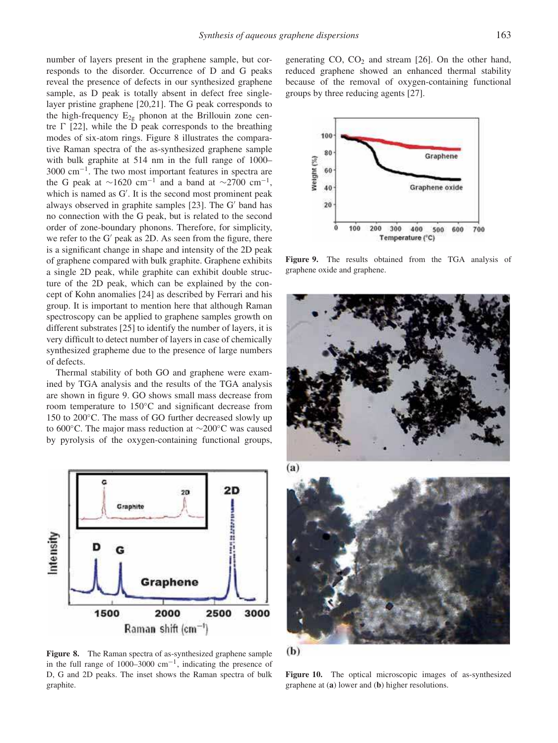number of layers present in the graphene sample, but corresponds to the disorder. Occurrence of D and G peaks reveal the presence of defects in our synthesized graphene sample, as D peak is totally absent in defect free singlelayer pristine graphene [20,21]. The G peak corresponds to the high-frequency  $E_{2g}$  phonon at the Brillouin zone centre  $\Gamma$  [22], while the D peak corresponds to the breathing modes of six-atom rings. Figure 8 illustrates the comparative Raman spectra of the as-synthesized graphene sample with bulk graphite at 514 nm in the full range of 1000– 3000 cm−<sup>1</sup> . The two most important features in spectra are the G peak at  $\sim$ 1620 cm<sup>-1</sup> and a band at  $\sim$ 2700 cm<sup>-1</sup>, which is named as G′ . It is the second most prominent peak always observed in graphite samples [23]. The G′ band has no connection with the G peak, but is related to the second order of zone-boundary phonons. Therefore, for simplicity, we refer to the G′ peak as 2D. As seen from the figure, there is a significant change in shape and intensity of the 2D peak of graphene compared with bulk graphite. Graphene exhibits a single 2D peak, while graphite can exhibit double structure of the 2D peak, which can be explained by the concept of Kohn anomalies [24] as described by Ferrari and his group. It is important to mention here that although Raman spectroscopy can be applied to graphene samples growth on different substrates [25] to identify the number of layers, it is very difficult to detect number of layers in case of chemically synthesized grapheme due to the presence of large numbers of defects.

Thermal stability of both GO and graphene were examined by TGA analysis and the results of the TGA analysis are shown in figure 9. GO shows small mass decrease from room temperature to 150◦C and significant decrease from 150 to 200◦C. The mass of GO further decreased slowly up to 600◦C. The major mass reduction at ∼200◦C was caused by pyrolysis of the oxygen-containing functional groups,



**Figure 8.** The Raman spectra of as-synthesized graphene sample in the full range of 1000–3000 cm−<sup>1</sup> , indicating the presence of D, G and 2D peaks. The inset shows the Raman spectra of bulk graphite.

generating  $CO$ ,  $CO<sub>2</sub>$  and stream [26]. On the other hand, reduced graphene showed an enhanced thermal stability because of the removal of oxygen-containing functional groups by three reducing agents [27].



**Figure 9.** The results obtained from the TGA analysis of graphene oxide and graphene.



**Figure 10.** The optical microscopic images of as-synthesized graphene at (**a**) lower and (**b**) higher resolutions.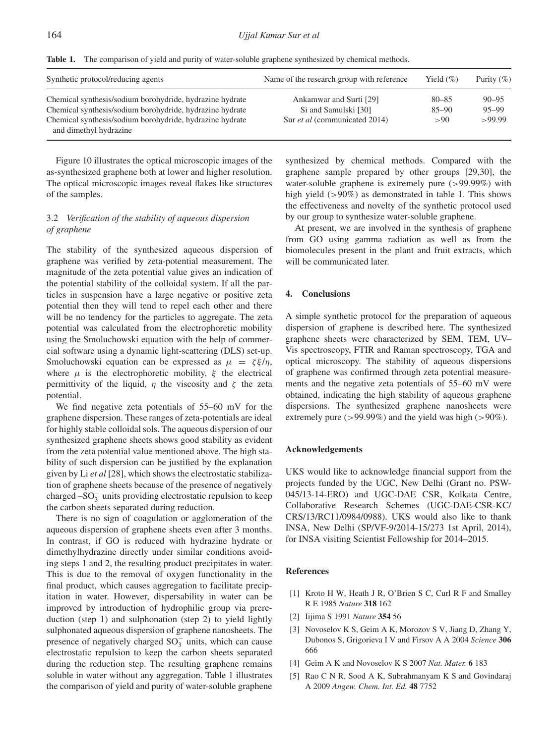**Table 1.** The comparison of yield and purity of water-soluble graphene synthesized by chemical methods.

| Synthetic protocol/reducing agents                                                                                   | Name of the research group with reference       | Yield $(\%)$           | Purity $(\% )$         |
|----------------------------------------------------------------------------------------------------------------------|-------------------------------------------------|------------------------|------------------------|
| Chemical synthesis/sodium borohydride, hydrazine hydrate<br>Chemical synthesis/sodium borohydride, hydrazine hydrate | Ankamwar and Surti [29]<br>Si and Samulski [30] | $80 - 85$<br>$85 - 90$ | $90 - 95$<br>$95 - 99$ |
| Chemical synthesis/sodium borohydride, hydrazine hydrate<br>and dimethyl hydrazine                                   | Sur <i>et al</i> (communicated 2014)            | >90                    | >99.99                 |

Figure 10 illustrates the optical microscopic images of the as-synthesized graphene both at lower and higher resolution. The optical microscopic images reveal flakes like structures of the samples.

## 3.2 *Verification of the stability of aqueous dispersion of graphene*

The stability of the synthesized aqueous dispersion of graphene was verified by zeta-potential measurement. The magnitude of the zeta potential value gives an indication of the potential stability of the colloidal system. If all the particles in suspension have a large negative or positive zeta potential then they will tend to repel each other and there will be no tendency for the particles to aggregate. The zeta potential was calculated from the electrophoretic mobility using the Smoluchowski equation with the help of commercial software using a dynamic light-scattering (DLS) set-up. Smoluchowski equation can be expressed as  $\mu = \zeta \xi / \eta$ , where  $\mu$  is the electrophoretic mobility,  $\xi$  the electrical permittivity of the liquid,  $\eta$  the viscosity and  $\zeta$  the zeta potential.

We find negative zeta potentials of 55–60 mV for the graphene dispersion. These ranges of zeta-potentials are ideal for highly stable colloidal sols. The aqueous dispersion of our synthesized graphene sheets shows good stability as evident from the zeta potential value mentioned above. The high stability of such dispersion can be justified by the explanation given by Li *et al* [28], which shows the electrostatic stabilization of graphene sheets because of the presence of negatively charged –SO<sup>−</sup> 3 units providing electrostatic repulsion to keep the carbon sheets separated during reduction.

There is no sign of coagulation or agglomeration of the aqueous dispersion of graphene sheets even after 3 months. In contrast, if GO is reduced with hydrazine hydrate or dimethylhydrazine directly under similar conditions avoiding steps 1 and 2, the resulting product precipitates in water. This is due to the removal of oxygen functionality in the final product, which causes aggregation to facilitate precipitation in water. However, dispersability in water can be improved by introduction of hydrophilic group via prereduction (step 1) and sulphonation (step 2) to yield lightly sulphonated aqueous dispersion of graphene nanosheets. The presence of negatively charged  $SO_3^-$  units, which can cause electrostatic repulsion to keep the carbon sheets separated during the reduction step. The resulting graphene remains soluble in water without any aggregation. Table 1 illustrates the comparison of yield and purity of water-soluble graphene

synthesized by chemical methods. Compared with the graphene sample prepared by other groups [29,30], the water-soluble graphene is extremely pure (>99.99%) with high yield  $(>90\%)$  as demonstrated in table 1. This shows the effectiveness and novelty of the synthetic protocol used by our group to synthesize water-soluble graphene.

At present, we are involved in the synthesis of graphene from GO using gamma radiation as well as from the biomolecules present in the plant and fruit extracts, which will be communicated later.

## **4. Conclusions**

A simple synthetic protocol for the preparation of aqueous dispersion of graphene is described here. The synthesized graphene sheets were characterized by SEM, TEM, UV– Vis spectroscopy, FTIR and Raman spectroscopy, TGA and optical microscopy. The stability of aqueous dispersions of graphene was confirmed through zeta potential measurements and the negative zeta potentials of 55–60 mV were obtained, indicating the high stability of aqueous graphene dispersions. The synthesized graphene nanosheets were extremely pure ( $>99.99\%$ ) and the yield was high ( $>90\%$ ).

## **Acknowledgements**

UKS would like to acknowledge financial support from the projects funded by the UGC, New Delhi (Grant no. PSW-045/13-14-ERO) and UGC-DAE CSR, Kolkata Centre, Collaborative Research Schemes (UGC-DAE-CSR-KC/ CRS/13/RC11/0984/0988). UKS would also like to thank INSA, New Delhi (SP/VF-9/2014-15/273 1st April, 2014), for INSA visiting Scientist Fellowship for 2014–2015.

#### **References**

- [1] Kroto H W, Heath J R, O'Brien S C, Curl R F and Smalley R E 1985 *Nature* **318** 162
- [2] Iijima S 1991 *Nature* **354** 56
- [3] Novoselov K S, Geim A K, Morozov S V, Jiang D, Zhang Y, Dubonos S, Grigorieva I V and Firsov A A 2004 *Science* **306** 666
- [4] Geim A K and Novoselov K S 2007 *Nat. Mater.* **6** 183
- [5] Rao C N R, Sood A K, Subrahmanyam K S and Govindaraj A 2009 *Angew. Chem. Int. Ed.* **48** 7752